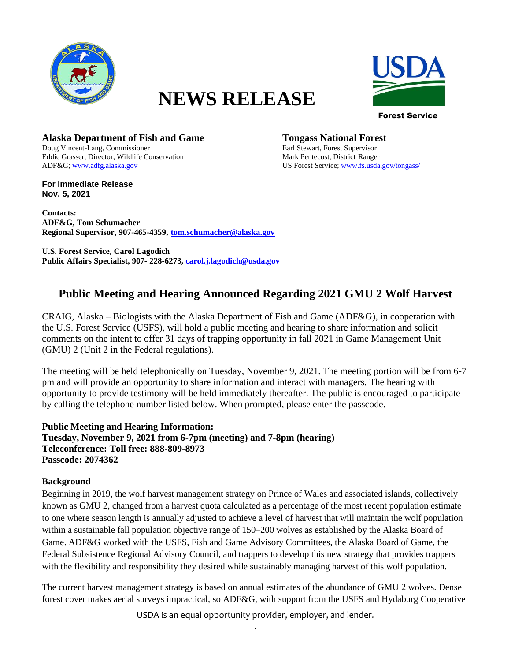

# **NEWS RELEASE**



Forest Service

**Alaska Department of Fish and Game Tongass National Forest** Doug Vincent-Lang, Commissioner **EXECUTE:** Exclude Earl Stewart, Forest Supervisor Doug Vincent-Lang, Commissioner Eddie Grasser, Director, Wildlife Conservation Mark Pentecost, District Ranger ADF&G[; www.adfg.alaska.gov](http://www.adfg.alaska.gov/) US Forest Service[; www.fs.usda.gov/tongass/](http://www.fs.usda.gov/tongass/)

**For Immediate Release Nov. 5, 2021**

**Contacts: ADF&G, Tom Schumacher Regional Supervisor, 907-465-4359, tom.schumacher@alaska.gov**

**U.S. Forest Service, Carol Lagodich Public Affairs Specialist, 907- 228-6273, [carol.j.lagodich@usda.gov](mailto:carol.j.lagodich@usda.gov)**

## **Public Meeting and Hearing Announced Regarding 2021 GMU 2 Wolf Harvest**

CRAIG, Alaska – Biologists with the Alaska Department of Fish and Game (ADF&G), in cooperation with the U.S. Forest Service (USFS), will hold a public meeting and hearing to share information and solicit comments on the intent to offer 31 days of trapping opportunity in fall 2021 in Game Management Unit (GMU) 2 (Unit 2 in the Federal regulations).

The meeting will be held telephonically on Tuesday, November 9, 2021. The meeting portion will be from 6-7 pm and will provide an opportunity to share information and interact with managers. The hearing with opportunity to provide testimony will be held immediately thereafter. The public is encouraged to participate by calling the telephone number listed below. When prompted, please enter the passcode.

**Public Meeting and Hearing Information: Tuesday, November 9, 2021 from 6-7pm (meeting) and 7-8pm (hearing) Teleconference: Toll free: 888-809-8973 Passcode: 2074362**

### **Background**

Beginning in 2019, the wolf harvest management strategy on Prince of Wales and associated islands, collectively known as GMU 2, changed from a harvest quota calculated as a percentage of the most recent population estimate to one where season length is annually adjusted to achieve a level of harvest that will maintain the wolf population within a sustainable fall population objective range of 150–200 wolves as established by the Alaska Board of Game. ADF&G worked with the USFS, Fish and Game Advisory Committees, the Alaska Board of Game, the Federal Subsistence Regional Advisory Council, and trappers to develop this new strategy that provides trappers with the flexibility and responsibility they desired while sustainably managing harvest of this wolf population.

The current harvest management strategy is based on annual estimates of the abundance of GMU 2 wolves. Dense forest cover makes aerial surveys impractical, so ADF&G, with support from the USFS and Hydaburg Cooperative

> USDA is an equal opportunity provider, employer, and lender. .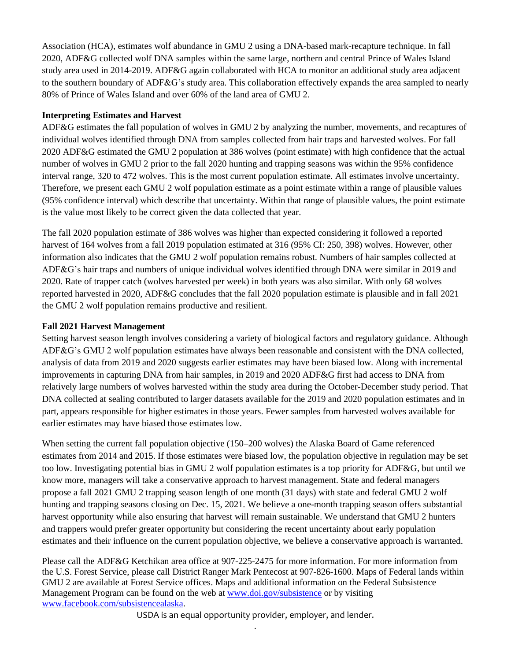Association (HCA), estimates wolf abundance in GMU 2 using a DNA-based mark-recapture technique. In fall 2020, ADF&G collected wolf DNA samples within the same large, northern and central Prince of Wales Island study area used in 2014-2019. ADF&G again collaborated with HCA to monitor an additional study area adjacent to the southern boundary of ADF&G's study area. This collaboration effectively expands the area sampled to nearly 80% of Prince of Wales Island and over 60% of the land area of GMU 2.

### **Interpreting Estimates and Harvest**

ADF&G estimates the fall population of wolves in GMU 2 by analyzing the number, movements, and recaptures of individual wolves identified through DNA from samples collected from hair traps and harvested wolves. For fall 2020 ADF&G estimated the GMU 2 population at 386 wolves (point estimate) with high confidence that the actual number of wolves in GMU 2 prior to the fall 2020 hunting and trapping seasons was within the 95% confidence interval range, 320 to 472 wolves. This is the most current population estimate. All estimates involve uncertainty. Therefore, we present each GMU 2 wolf population estimate as a point estimate within a range of plausible values (95% confidence interval) which describe that uncertainty. Within that range of plausible values, the point estimate is the value most likely to be correct given the data collected that year.

The fall 2020 population estimate of 386 wolves was higher than expected considering it followed a reported harvest of 164 wolves from a fall 2019 population estimated at 316 (95% CI: 250, 398) wolves. However, other information also indicates that the GMU 2 wolf population remains robust. Numbers of hair samples collected at ADF&G's hair traps and numbers of unique individual wolves identified through DNA were similar in 2019 and 2020. Rate of trapper catch (wolves harvested per week) in both years was also similar. With only 68 wolves reported harvested in 2020, ADF&G concludes that the fall 2020 population estimate is plausible and in fall 2021 the GMU 2 wolf population remains productive and resilient.

#### **Fall 2021 Harvest Management**

Setting harvest season length involves considering a variety of biological factors and regulatory guidance. Although ADF&G's GMU 2 wolf population estimates have always been reasonable and consistent with the DNA collected, analysis of data from 2019 and 2020 suggests earlier estimates may have been biased low. Along with incremental improvements in capturing DNA from hair samples, in 2019 and 2020 ADF&G first had access to DNA from relatively large numbers of wolves harvested within the study area during the October-December study period. That DNA collected at sealing contributed to larger datasets available for the 2019 and 2020 population estimates and in part, appears responsible for higher estimates in those years. Fewer samples from harvested wolves available for earlier estimates may have biased those estimates low.

When setting the current fall population objective (150–200 wolves) the Alaska Board of Game referenced estimates from 2014 and 2015. If those estimates were biased low, the population objective in regulation may be set too low. Investigating potential bias in GMU 2 wolf population estimates is a top priority for ADF&G, but until we know more, managers will take a conservative approach to harvest management. State and federal managers propose a fall 2021 GMU 2 trapping season length of one month (31 days) with state and federal GMU 2 wolf hunting and trapping seasons closing on Dec. 15, 2021. We believe a one-month trapping season offers substantial harvest opportunity while also ensuring that harvest will remain sustainable. We understand that GMU 2 hunters and trappers would prefer greater opportunity but considering the recent uncertainty about early population estimates and their influence on the current population objective, we believe a conservative approach is warranted.

Please call the ADF&G Ketchikan area office at 907-225-2475 for more information. For more information from the U.S. Forest Service, please call District Ranger Mark Pentecost at 907-826-1600. Maps of Federal lands within GMU 2 are available at Forest Service offices. Maps and additional information on the Federal Subsistence Management Program can be found on the web at [www.doi.gov/subsistence](http://www.doi.gov/subsistence) or by visiting [www.facebook.com/subsistencealaska.](http://www.facebook.com/subsistencealaska)

USDA is an equal opportunity provider, employer, and lender. .